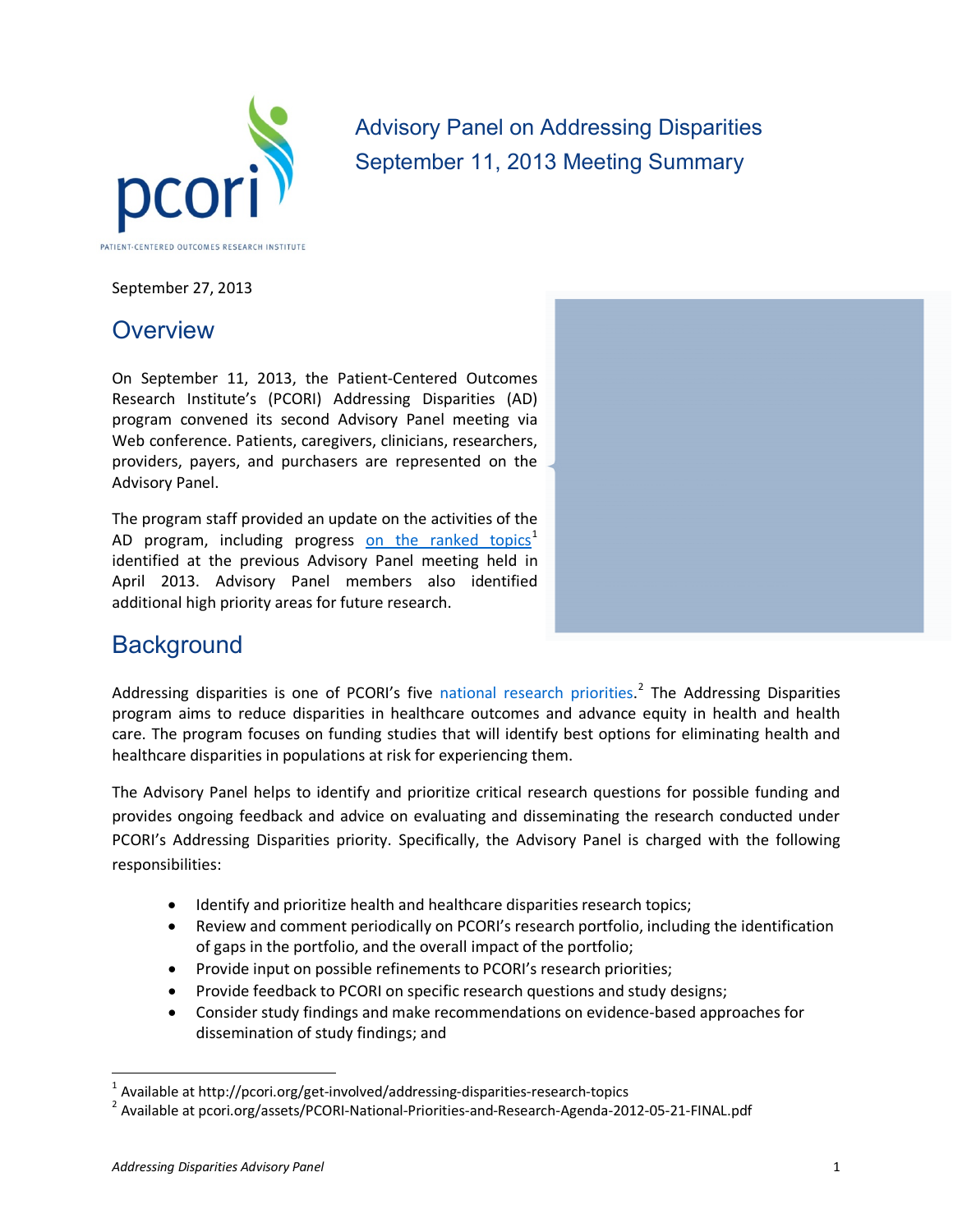

Advisory Panel on Addressing Disparities September 11, 2013 Meeting Summary

September 27, 2013

### **Overview**

On September 11, 2013, the Patient-Centered Outcomes Research Institute's (PCORI) Addressing Disparities (AD) program convened its second Advisory Panel meeting via Web conference. Patients, caregivers, clinicians, researchers, providers, payers, and purchasers are represented on the Advisory Panel.

The program staff provided an update on the activities of the AD program, including progress [on the ranked topics](http://pcori.org/get-involved/addressing-disparities-research-topics/)<sup>[1](#page-0-0)</sup> identified at the previous Advisory Panel meeting held in April 2013. Advisory Panel members also identified additional high priority areas for future research.

### **Background**

Addressing disparities is one of PCORI's five [national research priorities.](http://pcori.org/assets/PCORI-National-Priorities-and-Research-Agenda-2012-05-21-FINAL.pdf)<sup>[2](#page-0-1)</sup> The Addressing Disparities program aims to reduce disparities in healthcare outcomes and advance equity in health and health care. The program focuses on funding studies that will identify best options for eliminating health and healthcare disparities in populations at risk for experiencing them.

The Advisory Panel helps to identify and prioritize critical research questions for possible funding and provides ongoing feedback and advice on evaluating and disseminating the research conducted under PCORI's Addressing Disparities priority. Specifically, the Advisory Panel is charged with the following responsibilities:

- Identify and prioritize health and healthcare disparities research topics;
- Review and comment periodically on PCORI's research portfolio, including the identification of gaps in the portfolio, and the overall impact of the portfolio;
- Provide input on possible refinements to PCORI's research priorities;
- Provide feedback to PCORI on specific research questions and study designs;
- Consider study findings and make recommendations on evidence-based approaches for dissemination of study findings; and

 $\overline{\phantom{a}}$ 

<span id="page-0-1"></span><span id="page-0-0"></span>

<sup>&</sup>lt;sup>1</sup> Available at http://pcori.org/get-involved/addressing-disparities-research-topics<br><sup>2</sup> Available at pcori.org/assets/PCORI-National-Priorities-and-Research-Agenda-2012-05-21-FINAL.pdf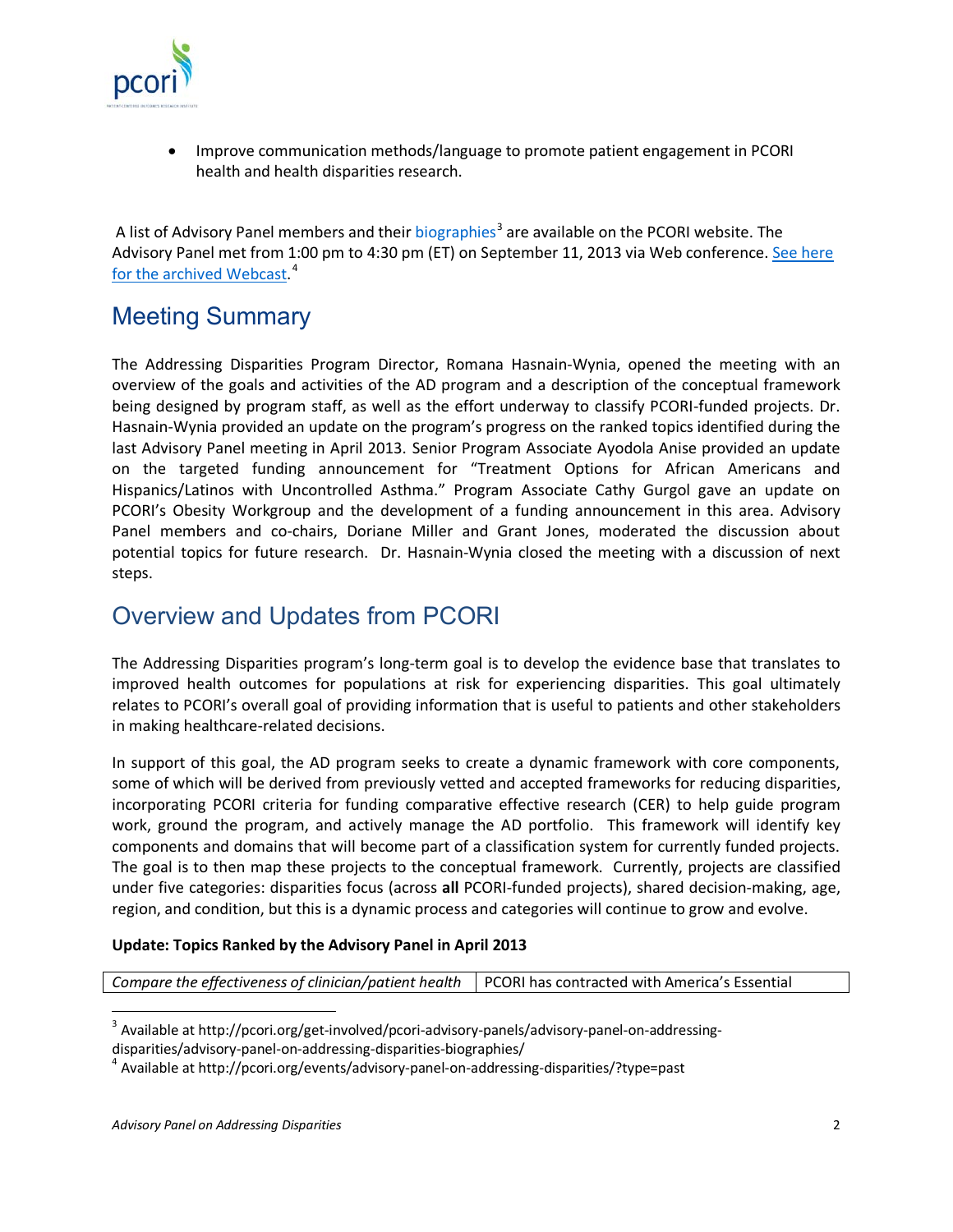

• Improve communication methods/language to promote patient engagement in PCORI health and health disparities research.

A list of Advisory Panel members and their [biographies](http://pcori.org/get-involved/pcori-advisory-panels/advisory-panel-on-addressing-disparities/advisory-panel-on-addressing-disparities-biographies/)<sup>[3](#page-1-0)</sup> are available on the PCORI website. The Advisory Panel met from 1:00 pm to 4:30 pm (ET) on September 11, 2013 via Web conference. See here for the [archived Webcast.](http://pcori.org/events/advisory-panel-on-addressing-disparities/?type=past)<sup>[4](#page-1-1)</sup>

# Meeting Summary

The Addressing Disparities Program Director, Romana Hasnain-Wynia, opened the meeting with an overview of the goals and activities of the AD program and a description of the conceptual framework being designed by program staff, as well as the effort underway to classify PCORI-funded projects. Dr. Hasnain-Wynia provided an update on the program's progress on the ranked topics identified during the last Advisory Panel meeting in April 2013. Senior Program Associate Ayodola Anise provided an update on the targeted funding announcement for "Treatment Options for African Americans and Hispanics/Latinos with Uncontrolled Asthma." Program Associate Cathy Gurgol gave an update on PCORI's Obesity Workgroup and the development of a funding announcement in this area. Advisory Panel members and co-chairs, Doriane Miller and Grant Jones, moderated the discussion about potential topics for future research. Dr. Hasnain-Wynia closed the meeting with a discussion of next steps.

### Overview and Updates from PCORI

The Addressing Disparities program's long-term goal is to develop the evidence base that translates to improved health outcomes for populations at risk for experiencing disparities. This goal ultimately relates to PCORI's overall goal of providing information that is useful to patients and other stakeholders in making healthcare-related decisions.

In support of this goal, the AD program seeks to create a dynamic framework with core components, some of which will be derived from previously vetted and accepted frameworks for reducing disparities, incorporating PCORI criteria for funding comparative effective research (CER) to help guide program work, ground the program, and actively manage the AD portfolio. This framework will identify key components and domains that will become part of a classification system for currently funded projects. The goal is to then map these projects to the conceptual framework. Currently, projects are classified under five categories: disparities focus (across **all** PCORI-funded projects), shared decision-making, age, region, and condition, but this is a dynamic process and categories will continue to grow and evolve.

### **Update: Topics Ranked by the Advisory Panel in April 2013**

*Compare the effectiveness of clinician/patient health* PCORI has contracted with America's Essential

 $\overline{\phantom{a}}$ 

<span id="page-1-0"></span> $3$  Available at http://pcori.org/get-involved/pcori-advisory-panels/advisory-panel-on-addressing-

<span id="page-1-1"></span>disparities/advisory-panel-on-addressing-disparities-biographies/<br><sup>4</sup> Available at http://pcori.org/events/advisory-panel-on-addressing-disparities/?type=past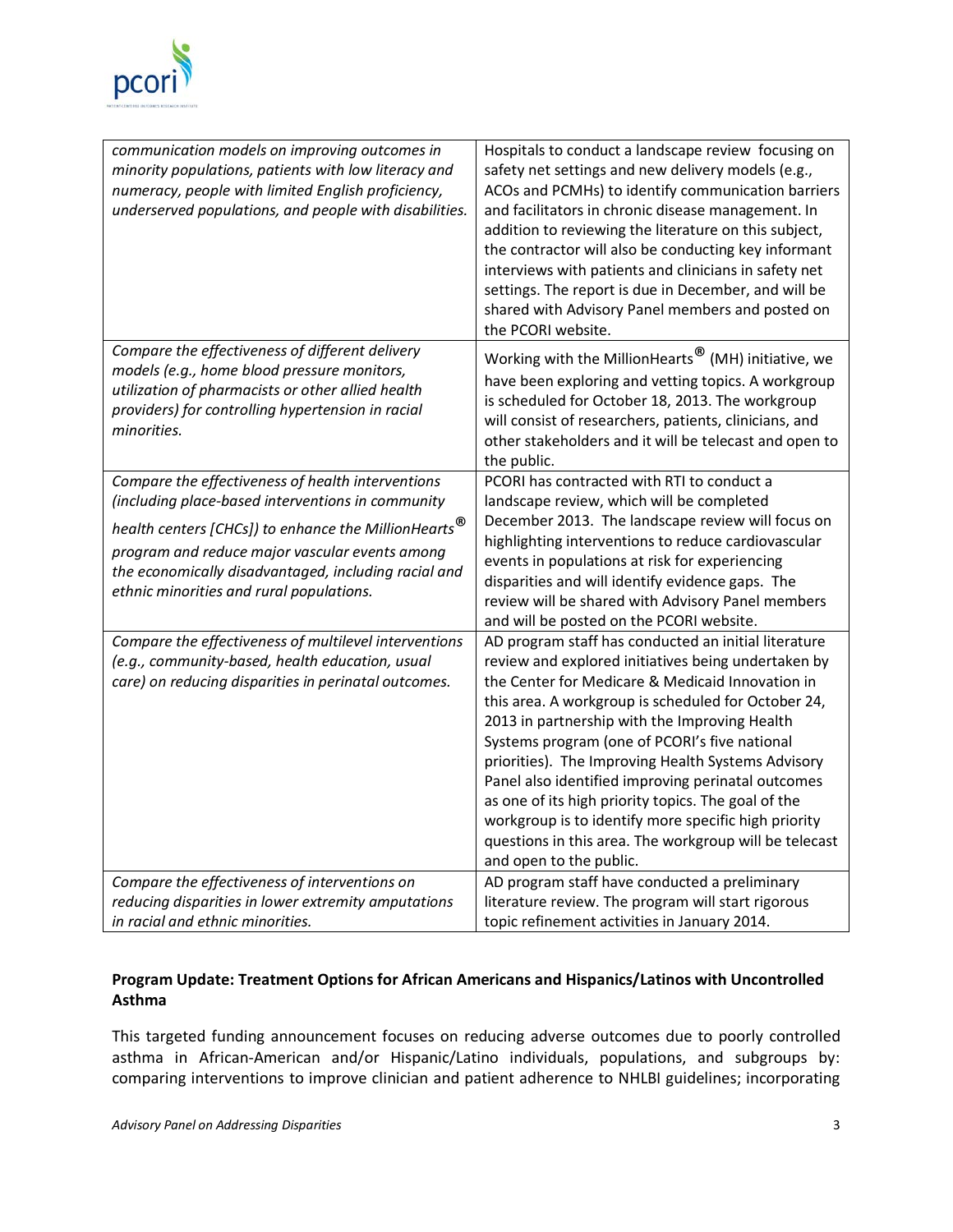

| communication models on improving outcomes in<br>minority populations, patients with low literacy and<br>numeracy, people with limited English proficiency,<br>underserved populations, and people with disabilities.                                                                                                            | Hospitals to conduct a landscape review focusing on<br>safety net settings and new delivery models (e.g.,<br>ACOs and PCMHs) to identify communication barriers<br>and facilitators in chronic disease management. In<br>addition to reviewing the literature on this subject,<br>the contractor will also be conducting key informant<br>interviews with patients and clinicians in safety net<br>settings. The report is due in December, and will be<br>shared with Advisory Panel members and posted on<br>the PCORI website.                                                                                                        |
|----------------------------------------------------------------------------------------------------------------------------------------------------------------------------------------------------------------------------------------------------------------------------------------------------------------------------------|------------------------------------------------------------------------------------------------------------------------------------------------------------------------------------------------------------------------------------------------------------------------------------------------------------------------------------------------------------------------------------------------------------------------------------------------------------------------------------------------------------------------------------------------------------------------------------------------------------------------------------------|
| Compare the effectiveness of different delivery<br>models (e.g., home blood pressure monitors,<br>utilization of pharmacists or other allied health<br>providers) for controlling hypertension in racial<br>minorities.                                                                                                          | Working with the MillionHearts <sup>®</sup> (MH) initiative, we<br>have been exploring and vetting topics. A workgroup<br>is scheduled for October 18, 2013. The workgroup<br>will consist of researchers, patients, clinicians, and<br>other stakeholders and it will be telecast and open to<br>the public.                                                                                                                                                                                                                                                                                                                            |
| Compare the effectiveness of health interventions<br>(including place-based interventions in community<br>health centers [CHCs]) to enhance the MillionHearts $^\circledR$<br>program and reduce major vascular events among<br>the economically disadvantaged, including racial and<br>ethnic minorities and rural populations. | PCORI has contracted with RTI to conduct a<br>landscape review, which will be completed<br>December 2013. The landscape review will focus on<br>highlighting interventions to reduce cardiovascular<br>events in populations at risk for experiencing<br>disparities and will identify evidence gaps. The<br>review will be shared with Advisory Panel members<br>and will be posted on the PCORI website.                                                                                                                                                                                                                               |
| Compare the effectiveness of multilevel interventions<br>(e.g., community-based, health education, usual<br>care) on reducing disparities in perinatal outcomes.                                                                                                                                                                 | AD program staff has conducted an initial literature<br>review and explored initiatives being undertaken by<br>the Center for Medicare & Medicaid Innovation in<br>this area. A workgroup is scheduled for October 24,<br>2013 in partnership with the Improving Health<br>Systems program (one of PCORI's five national<br>priorities). The Improving Health Systems Advisory<br>Panel also identified improving perinatal outcomes<br>as one of its high priority topics. The goal of the<br>workgroup is to identify more specific high priority<br>questions in this area. The workgroup will be telecast<br>and open to the public. |
| Compare the effectiveness of interventions on<br>reducing disparities in lower extremity amputations<br>in racial and ethnic minorities.                                                                                                                                                                                         | AD program staff have conducted a preliminary<br>literature review. The program will start rigorous<br>topic refinement activities in January 2014.                                                                                                                                                                                                                                                                                                                                                                                                                                                                                      |

### **Program Update: Treatment Options for African Americans and Hispanics/Latinos with Uncontrolled Asthma**

This targeted funding announcement focuses on reducing adverse outcomes due to poorly controlled asthma in African-American and/or Hispanic/Latino individuals, populations, and subgroups by: comparing interventions to improve clinician and patient adherence to NHLBI guidelines; incorporating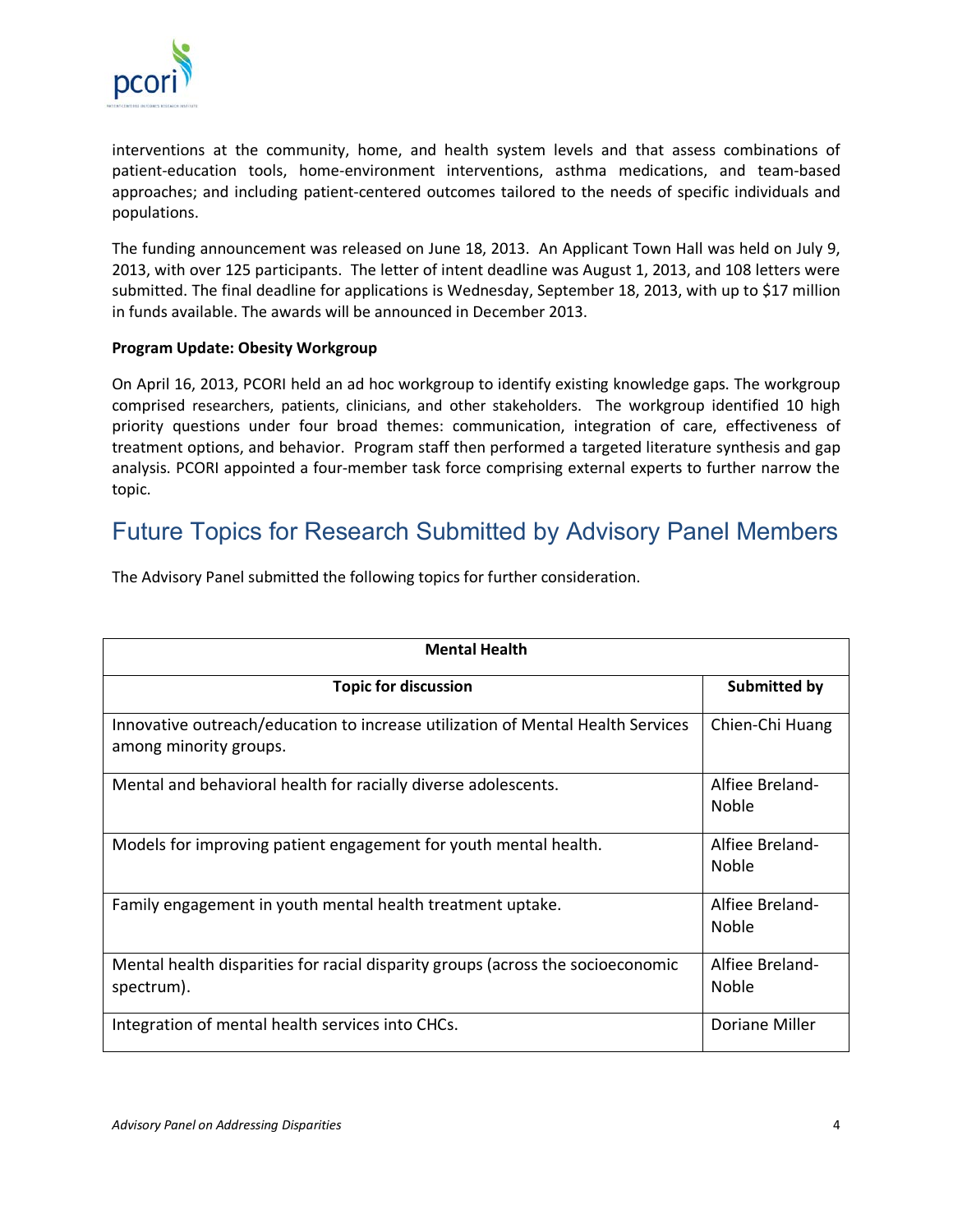

interventions at the community, home, and health system levels and that assess combinations of patient-education tools, home-environment interventions, asthma medications, and team-based approaches; and including patient-centered outcomes tailored to the needs of specific individuals and populations.

The funding announcement was released on June 18, 2013. An Applicant Town Hall was held on July 9, 2013, with over 125 participants. The letter of intent deadline was August 1, 2013, and 108 letters were submitted. The final deadline for applications is Wednesday, September 18, 2013, with up to \$17 million in funds available. The awards will be announced in December 2013.

#### **Program Update: Obesity Workgroup**

On April 16, 2013, PCORI held an ad hoc workgroup to identify existing knowledge gaps. The workgroup comprised researchers, patients, clinicians, and other stakeholders. The workgroup identified 10 high priority questions under four broad themes: communication, integration of care, effectiveness of treatment options, and behavior. Program staff then performed a targeted literature synthesis and gap analysis. PCORI appointed a four-member task force comprising external experts to further narrow the topic.

## Future Topics for Research Submitted by Advisory Panel Members

The Advisory Panel submitted the following topics for further consideration.

| <b>Mental Health</b>                                                                                      |                                 |  |
|-----------------------------------------------------------------------------------------------------------|---------------------------------|--|
| <b>Topic for discussion</b>                                                                               | <b>Submitted by</b>             |  |
| Innovative outreach/education to increase utilization of Mental Health Services<br>among minority groups. | Chien-Chi Huang                 |  |
| Mental and behavioral health for racially diverse adolescents.                                            | Alfiee Breland-<br><b>Noble</b> |  |
| Models for improving patient engagement for youth mental health.                                          | Alfiee Breland-<br><b>Noble</b> |  |
| Family engagement in youth mental health treatment uptake.                                                | Alfiee Breland-<br><b>Noble</b> |  |
| Mental health disparities for racial disparity groups (across the socioeconomic<br>spectrum).             | Alfiee Breland-<br><b>Noble</b> |  |
| Integration of mental health services into CHCs.                                                          | Doriane Miller                  |  |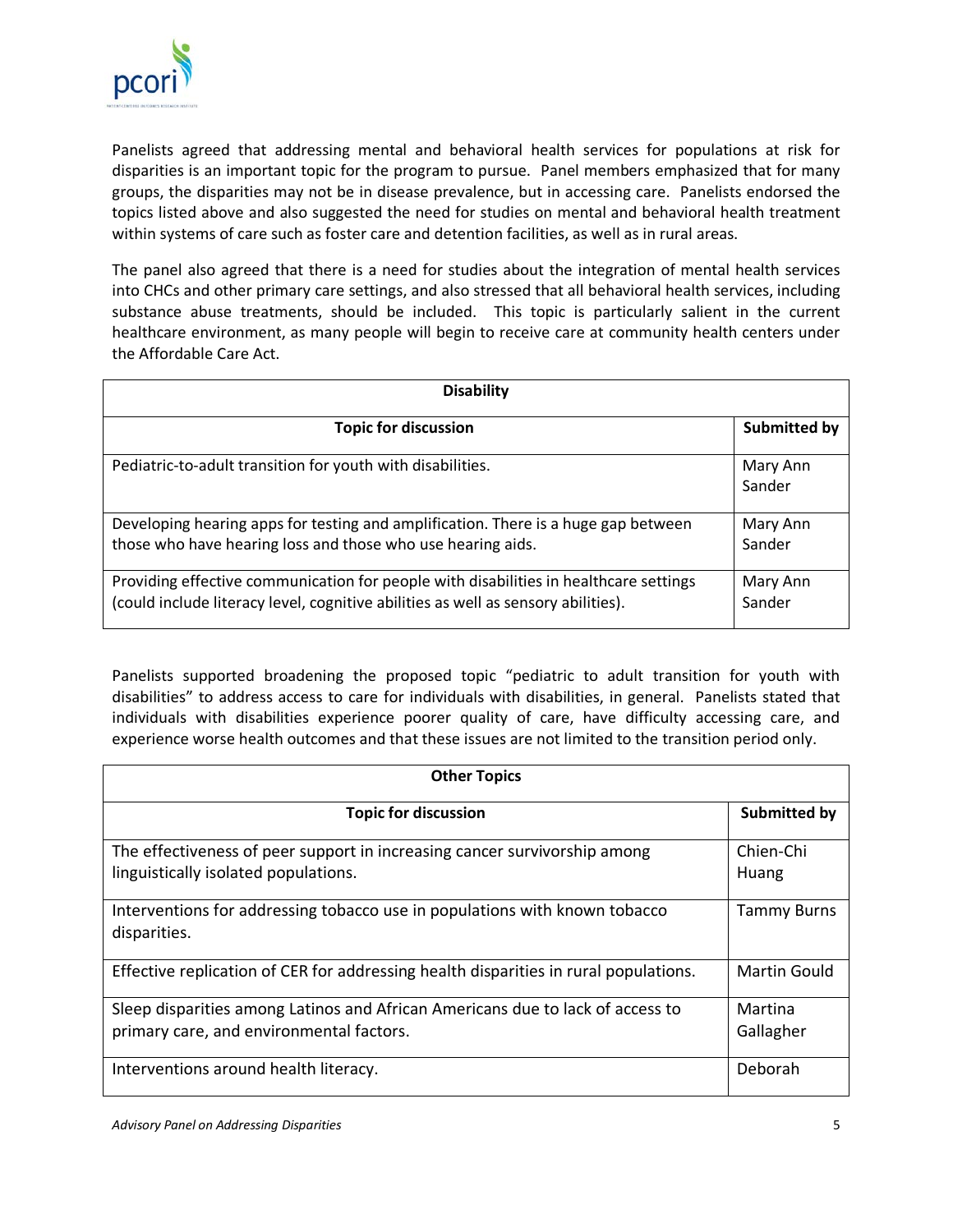

Panelists agreed that addressing mental and behavioral health services for populations at risk for disparities is an important topic for the program to pursue. Panel members emphasized that for many groups, the disparities may not be in disease prevalence, but in accessing care. Panelists endorsed the topics listed above and also suggested the need for studies on mental and behavioral health treatment within systems of care such as foster care and detention facilities, as well as in rural areas.

The panel also agreed that there is a need for studies about the integration of mental health services into CHCs and other primary care settings, and also stressed that all behavioral health services, including substance abuse treatments, should be included. This topic is particularly salient in the current healthcare environment, as many people will begin to receive care at community health centers under the Affordable Care Act.

| <b>Disability</b>                                                                                                                                                          |                    |  |
|----------------------------------------------------------------------------------------------------------------------------------------------------------------------------|--------------------|--|
| <b>Topic for discussion</b>                                                                                                                                                | Submitted by       |  |
| Pediatric-to-adult transition for youth with disabilities.                                                                                                                 | Mary Ann<br>Sander |  |
| Developing hearing apps for testing and amplification. There is a huge gap between<br>those who have hearing loss and those who use hearing aids.                          | Mary Ann<br>Sander |  |
| Providing effective communication for people with disabilities in healthcare settings<br>(could include literacy level, cognitive abilities as well as sensory abilities). | Mary Ann<br>Sander |  |

Panelists supported broadening the proposed topic "pediatric to adult transition for youth with disabilities" to address access to care for individuals with disabilities, in general. Panelists stated that individuals with disabilities experience poorer quality of care, have difficulty accessing care, and experience worse health outcomes and that these issues are not limited to the transition period only.

| <b>Other Topics</b>                                                                                                        |                      |  |
|----------------------------------------------------------------------------------------------------------------------------|----------------------|--|
| <b>Topic for discussion</b>                                                                                                | Submitted by         |  |
| The effectiveness of peer support in increasing cancer survivorship among<br>linguistically isolated populations.          | Chien-Chi<br>Huang   |  |
| Interventions for addressing tobacco use in populations with known tobacco<br>disparities.                                 | <b>Tammy Burns</b>   |  |
| Effective replication of CER for addressing health disparities in rural populations.                                       | <b>Martin Gould</b>  |  |
| Sleep disparities among Latinos and African Americans due to lack of access to<br>primary care, and environmental factors. | Martina<br>Gallagher |  |
| Interventions around health literacy.                                                                                      | Deborah              |  |